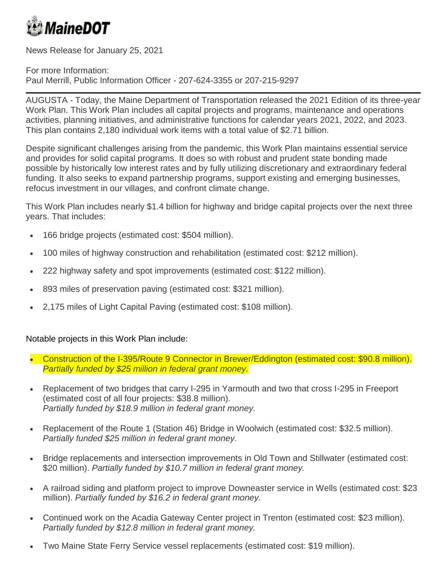

News Release for January 25, 2021

For more Information: Paul Merrill, Public Information Officer - 207-624-3355 or 207-215-9297

AUGUSTA - Today, the Maine Department of Transportation released the 2021 Edition of its three-year Work Plan. This Work Plan includes all capital projects and programs, maintenance and operations activities, planning initiatives, and administrative functions for calendar years 2021, 2022, and 2023. This plan contains 2,180 individual work items with a total value of \$2.71 billion.

Despite significant challenges arising from the pandemic, this Work Plan maintains essential service and provides for solid capital programs. It does so with robust and prudent state bonding made possible by historically low interest rates and by fully utilizing discretionary and extraordinary federal funding. It also seeks to expand partnership programs, support existing and emerging businesses, refocus investment in our villages, and confront climate change.

This Work Plan includes nearly \$1.4 billion for highway and bridge capital projects over the next three years. That includes:

- 166 bridge projects (estimated cost: \$504 million).
- 100 miles of highway construction and rehabilitation (estimated cost: \$212 million).
- 222 highway safety and spot improvements (estimated cost: \$122 million).
- 893 miles of preservation paving (estimated cost: \$321 million).
- 2,175 miles of Light Capital Paving (estimated cost: \$108 million).

## Notable projects in this Work Plan include:

- Construction of the I-395/Route 9 Connector in Brewer/Eddington (estimated cost: \$90.8 million). *Partially funded by \$25 million in federal grant money.*
- Replacement of two bridges that carry I-295 in Yarmouth and two that cross I-295 in Freeport (estimated cost of all four projects: \$38.8 million). *Partially funded by \$18.9 million in federal grant money.*
- Replacement of the Route 1 (Station 46) Bridge in Woolwich (estimated cost: \$32.5 million). *Partially funded \$25 million in federal grant money.*
- Bridge replacements and intersection improvements in Old Town and Stillwater (estimated cost: \$20 million). *Partially funded by \$10.7 million in federal grant money.*
- A railroad siding and platform project to improve Downeaster service in Wells (estimated cost: \$23 million). *Partially funded by \$16.2 in federal grant money.*
- Continued work on the Acadia Gateway Center project in Trenton (estimated cost: \$23 million). *Partially funded by \$12.8 million in federal grant money.*
- Two Maine State Ferry Service vessel replacements (estimated cost: \$19 million).